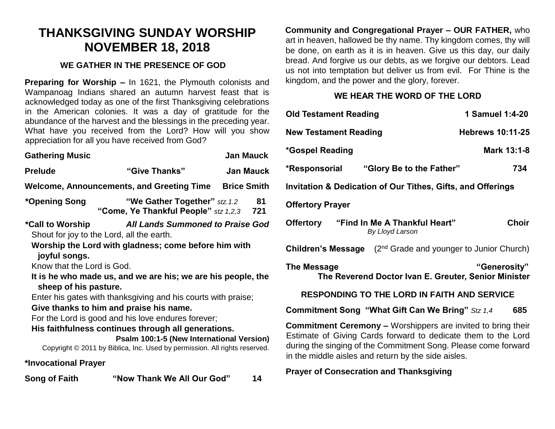# **THANKSGIVING SUNDAY WORSHIP NOVEMBER 18, 2018**

## **WE GATHER IN THE PRESENCE OF GOD**

**Preparing for Worship –** In 1621, the Plymouth colonists and Wampanoag Indians shared an autumn harvest feast that is acknowledged today as one of the first Thanksgiving celebrations in the American colonies. It was a day of gratitude for the abundance of the harvest and the blessings in the preceding year. What have you received from the Lord? How will you show appreciation for all you have received from God?

| <b>Gathering Music</b>                                                                |                                                                           | <b>Jan Mauck</b> |  |  |
|---------------------------------------------------------------------------------------|---------------------------------------------------------------------------|------------------|--|--|
| <b>Prelude</b>                                                                        | "Give Thanks"                                                             | <b>Jan Mauck</b> |  |  |
| Welcome, Announcements, and Greeting Time<br><b>Brice Smith</b>                       |                                                                           |                  |  |  |
| *Opening Song                                                                         | "We Gather Together" stz. 1.2<br>"Come, Ye Thankful People" stz 1,2,3 721 | 81               |  |  |
| *Call to Worship                                                                      | <b>All Lands Summoned to Praise God</b>                                   |                  |  |  |
| Shout for joy to the Lord, all the earth.                                             |                                                                           |                  |  |  |
| Worship the Lord with gladness; come before him with                                  |                                                                           |                  |  |  |
| joyful songs.                                                                         |                                                                           |                  |  |  |
| Know that the Lord is God.                                                            |                                                                           |                  |  |  |
| It is he who made us, and we are his; we are his people, the<br>sheep of his pasture. |                                                                           |                  |  |  |
| Enter his gates with thanksgiving and his courts with praise;                         |                                                                           |                  |  |  |
| Give thanks to him and praise his name.                                               |                                                                           |                  |  |  |
| For the Lord is good and his love endures forever;                                    |                                                                           |                  |  |  |
| His faithfulness continues through all generations.                                   |                                                                           |                  |  |  |
| Psalm 100:1-5 (New International Version)                                             |                                                                           |                  |  |  |
| Copyright © 2011 by Biblica, Inc. Used by permission. All rights reserved.            |                                                                           |                  |  |  |
| *Invocational Prayer                                                                  |                                                                           |                  |  |  |

| Song of Faith | "Now Thank We All Our God" | 14 |
|---------------|----------------------------|----|
|               |                            |    |

**Community and Congregational Prayer – OUR FATHER,** who art in heaven, hallowed be thy name. Thy kingdom comes, thy will be done, on earth as it is in heaven. Give us this day, our daily bread. And forgive us our debts, as we forgive our debtors. Lead us not into temptation but deliver us from evil. For Thine is the kingdom, and the power and the glory, forever.

# **WE HEAR THE WORD OF THE LORD**

| е<br>r. | <b>Old Testament Reading</b>                                                                                                                                                                                                                                  | 1 Samuel 1:4-20         |  |  |
|---------|---------------------------------------------------------------------------------------------------------------------------------------------------------------------------------------------------------------------------------------------------------------|-------------------------|--|--|
| N       | <b>New Testament Reading</b>                                                                                                                                                                                                                                  | <b>Hebrews 10:11-25</b> |  |  |
| C       | *Gospel Reading                                                                                                                                                                                                                                               | Mark 13:1-8             |  |  |
| k       | "Glory Be to the Father"<br>*Responsorial                                                                                                                                                                                                                     | 734                     |  |  |
| h       | <b>Invitation &amp; Dedication of Our Tithes, Gifts, and Offerings</b>                                                                                                                                                                                        |                         |  |  |
|         | <b>Offertory Prayer</b>                                                                                                                                                                                                                                       |                         |  |  |
| d       | Offertory "Find In Me A Thankful Heart"<br>By Lloyd Larson                                                                                                                                                                                                    | <b>Choir</b>            |  |  |
|         | <b>Children's Message</b> $(2^{nd}$ Grade and younger to Junior Church)                                                                                                                                                                                       |                         |  |  |
| е       | <b>The Message</b><br>The Reverend Doctor Ivan E. Greuter, Senior Minister                                                                                                                                                                                    | "Generosity"            |  |  |
|         | <b>RESPONDING TO THE LORD IN FAITH AND SERVICE</b>                                                                                                                                                                                                            |                         |  |  |
|         | <b>Commitment Song "What Gift Can We Bring"</b> Stz 1,4                                                                                                                                                                                                       | 685                     |  |  |
| J.      | <b>Commitment Ceremony –</b> Worshippers are invited to bring their<br>Estimate of Giving Cards forward to dedicate them to the Lord<br>during the singing of the Commitment Song. Please come forward<br>in the middle aisles and return by the side aisles. |                         |  |  |

## **Prayer of Consecration and Thanksgiving**